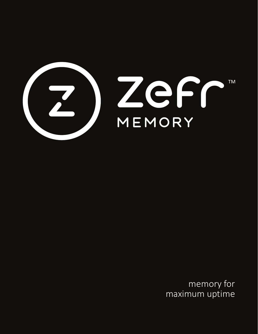

memory for maximum uptime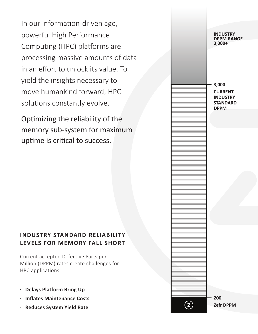In our information-driven age, powerful High Performance Computing (HPC) platforms are processing massive amounts of data in an effort to unlock its value. To yield the insights necessary to move humankind forward, HPC solutions constantly evolve.

Optimizing the reliability of the memory sub-system for maximum uptime is critical to success.

### **INDUSTRY STANDARD RELIABILITY LEVELS FOR MEMORY FALL SHORT**

Current accepted Defective Parts per Million (DPPM) rates create challenges for HPC applications:

- x **Delays Platform Bring Up**
- **Inflates Maintenance Costs**
- x **Reduces System Yield Rate**

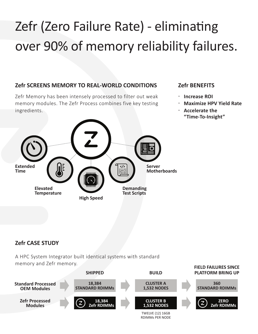# Zefr (Zero Failure Rate) - eliminating over 90% of memory reliability failures.

#### **Zefr SCREENS MEMORY TO REAL-WORLD CONDITIONS**

Zefr Memory has been intensely processed to filter out weak memory modules. The Zefr Process combines five key testing ingredients.



#### **Zefr BENEFITS**

- x **Increase ROI**
- x **Maximize HPV Yield Rate**
- x **Accelerate the "Time-To-Insight"**

### **Zefr CASE STUDY**

A HPC System Integrator built identical systems with standard memory and Zefr memory.